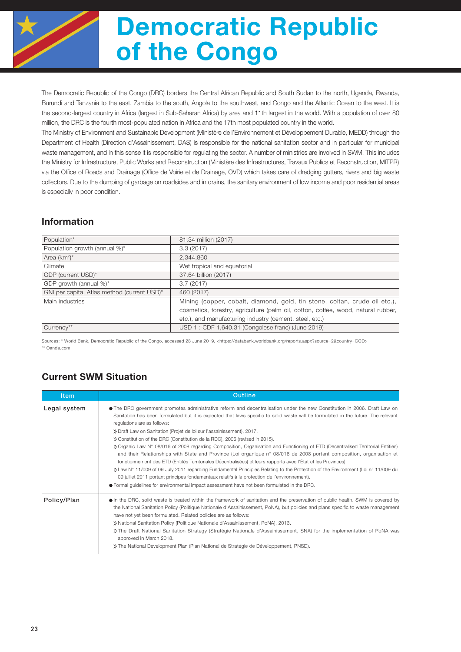

# Democratic Republic of the Congo

The Democratic Republic of the Congo (DRC) borders the Central African Republic and South Sudan to the north, Uganda, Rwanda, Burundi and Tanzania to the east, Zambia to the south, Angola to the southwest, and Congo and the Atlantic Ocean to the west. It is the second-largest country in Africa (largest in Sub-Saharan Africa) by area and 11th largest in the world. With a population of over 80 million, the DRC is the fourth most-populated nation in Africa and the 17th most populated country in the world.

The Ministry of Environment and Sustainable Development (Ministère de l'Environnement et Développement Durable, MEDD) through the Department of Health (Direction d'Assainissement, DAS) is responsible for the national sanitation sector and in particular for municipal waste management, and in this sense it is responsible for regulating the sector. A number of ministries are involved in SWM. This includes the Ministry for Infrastructure, Public Works and Reconstruction (Ministère des Infrastructures, Travaux Publics et Reconstruction, MITPR) via the Office of Roads and Drainage (Office de Voirie et de Drainage, OVD) which takes care of dredging gutters, rivers and big waste collectors. Due to the dumping of garbage on roadsides and in drains, the sanitary environment of low income and poor residential areas is especially in poor condition.

### Information

| Population*                                 | 81.34 million (2017)                                                              |
|---------------------------------------------|-----------------------------------------------------------------------------------|
| Population growth (annual %)*               | 3.3(2017)                                                                         |
| Area $(km^2)^*$                             | 2,344,860                                                                         |
| Climate                                     | Wet tropical and equatorial                                                       |
| GDP (current USD)*                          | 37.64 billion (2017)                                                              |
| GDP growth (annual %)*                      | 3.7(2017)                                                                         |
| GNI per capita, Atlas method (current USD)* | 460 (2017)                                                                        |
| Main industries                             | Mining (copper, cobalt, diamond, gold, tin stone, coltan, crude oil etc.),        |
|                                             | cosmetics, forestry, agriculture (palm oil, cotton, coffee, wood, natural rubber, |
|                                             | etc.), and manufacturing industry (cement, steel, etc.)                           |
| Currency**                                  | USD 1: CDF 1,640.31 (Congolese franc) (June 2019)                                 |

Sources: \* World Bank, Democratic Republic of the Congo, accessed 28 June 2019, <https://databank.worldbank.org/reports.aspx?source=2&country=COD> \*\* Oanda.com

## Current SWM Situation

| <b>Item</b>  | Outline                                                                                                                                                                                                                                                                                                                                                                                                                                                                                                                                                                                                                                                                                                                                                                                                                                                                                                                                                                                                                                                                                                                                                                   |  |  |  |  |  |
|--------------|---------------------------------------------------------------------------------------------------------------------------------------------------------------------------------------------------------------------------------------------------------------------------------------------------------------------------------------------------------------------------------------------------------------------------------------------------------------------------------------------------------------------------------------------------------------------------------------------------------------------------------------------------------------------------------------------------------------------------------------------------------------------------------------------------------------------------------------------------------------------------------------------------------------------------------------------------------------------------------------------------------------------------------------------------------------------------------------------------------------------------------------------------------------------------|--|--|--|--|--|
| Legal system | • The DRC government promotes administrative reform and decentralisation under the new Constitution in 2006. Draft Law on<br>Sanitation has been formulated but it is expected that laws specific to solid waste will be formulated in the future. The relevant<br>regulations are as follows:<br>» Draft Law on Sanitation (Projet de loi sur l'assainissement), 2017.<br>» Constitution of the DRC (Constitution de la RDC), 2006 (revised in 2015).<br>≫ Organic Law N° 08/016 of 2008 regarding Composition, Organisation and Functioning of ETD (Decentralised Territorial Entities)<br>and their Relationships with State and Province (Loi organique n° 08/016 de 2008 portant composition, organisation et<br>fonctionnement des ETD (Entités Territoriales Décentralisées) et leurs rapports avec l'État et les Provinces).<br>>> Law N° 11/009 of 09 July 2011 regarding Fundamental Principles Relating to the Protection of the Environment (Loi n° 11/009 du<br>09 juillet 2011 portant principes fondamentaux relatifs à la protection de l'environnement).<br>● Formal guidelines for environmental impact assessment have not been formulated in the DRC. |  |  |  |  |  |
| Policy/Plan  | • In the DRC, solid waste is treated within the framework of sanitation and the preservation of public health. SWM is covered by<br>the National Sanitation Policy (Politique Nationale d'Assainissement, PoNA), but policies and plans specific to waste management<br>have not yet been formulated. Related policies are as follows:<br>» National Sanitation Policy (Politique Nationale d'Assainissement, PoNA), 2013.<br>The Draft National Sanitation Strategy (Stratégie Nationale d'Assainissement, SNA) for the implementation of PoNA was<br>approved in March 2018.<br>» The National Development Plan (Plan National de Stratégie de Développement, PNSD).                                                                                                                                                                                                                                                                                                                                                                                                                                                                                                    |  |  |  |  |  |